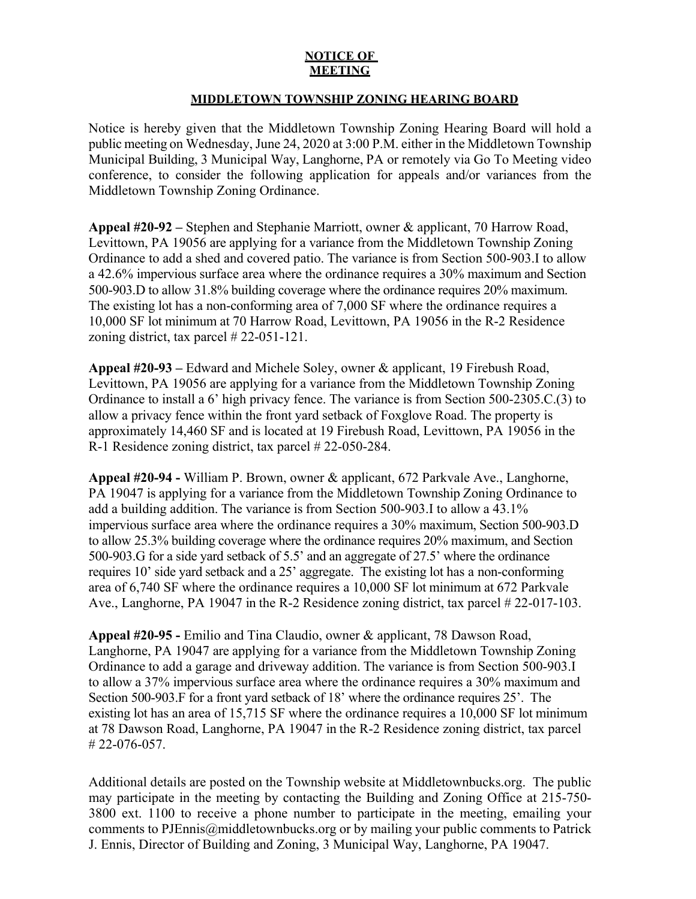## **NOTICE OF MEETING**

## **MIDDLETOWN TOWNSHIP ZONING HEARING BOARD**

Notice is hereby given that the Middletown Township Zoning Hearing Board will hold a public meeting on Wednesday, June 24, 2020 at 3:00 P.M. either in the Middletown Township Municipal Building, 3 Municipal Way, Langhorne, PA or remotely via Go To Meeting video conference, to consider the following application for appeals and/or variances from the Middletown Township Zoning Ordinance.

**Appeal #20-92 –** Stephen and Stephanie Marriott, owner & applicant, 70 Harrow Road, Levittown, PA 19056 are applying for a variance from the Middletown Township Zoning Ordinance to add a shed and covered patio. The variance is from Section 500-903.I to allow a 42.6% impervious surface area where the ordinance requires a 30% maximum and Section 500-903.D to allow 31.8% building coverage where the ordinance requires 20% maximum. The existing lot has a non-conforming area of 7,000 SF where the ordinance requires a 10,000 SF lot minimum at 70 Harrow Road, Levittown, PA 19056 in the R-2 Residence zoning district, tax parcel # 22-051-121.

**Appeal #20-93 –** Edward and Michele Soley, owner & applicant, 19 Firebush Road, Levittown, PA 19056 are applying for a variance from the Middletown Township Zoning Ordinance to install a 6' high privacy fence. The variance is from Section 500-2305.C.(3) to allow a privacy fence within the front yard setback of Foxglove Road. The property is approximately 14,460 SF and is located at 19 Firebush Road, Levittown, PA 19056 in the R-1 Residence zoning district, tax parcel # 22-050-284.

**Appeal #20-94 -** William P. Brown, owner & applicant, 672 Parkvale Ave., Langhorne, PA 19047 is applying for a variance from the Middletown Township Zoning Ordinance to add a building addition. The variance is from Section 500-903.I to allow a 43.1% impervious surface area where the ordinance requires a 30% maximum, Section 500-903.D to allow 25.3% building coverage where the ordinance requires 20% maximum, and Section 500-903.G for a side yard setback of 5.5' and an aggregate of 27.5' where the ordinance requires 10' side yard setback and a 25' aggregate. The existing lot has a non-conforming area of 6,740 SF where the ordinance requires a 10,000 SF lot minimum at 672 Parkvale Ave., Langhorne, PA 19047 in the R-2 Residence zoning district, tax parcel # 22-017-103.

**Appeal #20-95 -** Emilio and Tina Claudio, owner & applicant, 78 Dawson Road, Langhorne, PA 19047 are applying for a variance from the Middletown Township Zoning Ordinance to add a garage and driveway addition. The variance is from Section 500-903.I to allow a 37% impervious surface area where the ordinance requires a 30% maximum and Section 500-903.F for a front yard setback of 18' where the ordinance requires 25'. The existing lot has an area of 15,715 SF where the ordinance requires a 10,000 SF lot minimum at 78 Dawson Road, Langhorne, PA 19047 in the R-2 Residence zoning district, tax parcel # 22-076-057.

Additional details are posted on the Township website at Middletownbucks.org. The public may participate in the meeting by contacting the Building and Zoning Office at 215-750- 3800 ext. 1100 to receive a phone number to participate in the meeting, emailing your comments to PJEnnis@middletownbucks.org or by mailing your public comments to Patrick J. Ennis, Director of Building and Zoning, 3 Municipal Way, Langhorne, PA 19047.